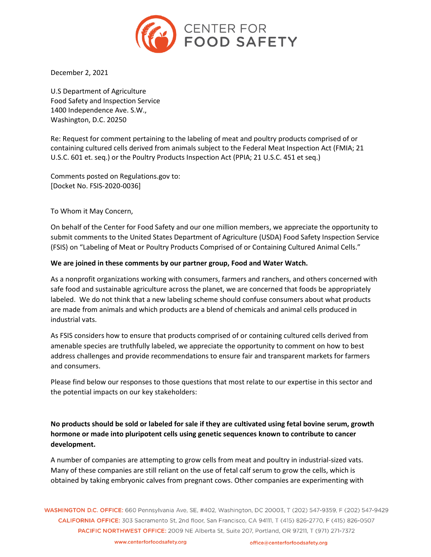

December 2, 2021

U.S Department of Agriculture Food Safety and Inspection Service 1400 Independence Ave. S.W., Washington, D.C. 20250

Re: Request for comment pertaining to the labeling of meat and poultry products comprised of or containing cultured cells derived from animals subject to the Federal Meat Inspection Act (FMIA; 21 U.S.C. 601 et. seq.) or the Poultry Products Inspection Act (PPIA; 21 U.S.C. 451 et seq.)

Comments posted on Regulations.gov to: [Docket No. FSIS-2020-0036]

To Whom it May Concern,

On behalf of the Center for Food Safety and our one million members, we appreciate the opportunity to submit comments to the United States Department of Agriculture (USDA) Food Safety Inspection Service (FSIS) on "Labeling of Meat or Poultry Products Comprised of or Containing Cultured Animal Cells."

#### **We are joined in these comments by our partner group, Food and Water Watch.**

As a nonprofit organizations working with consumers, farmers and ranchers, and others concerned with safe food and sustainable agriculture across the planet, we are concerned that foods be appropriately labeled. We do not think that a new labeling scheme should confuse consumers about what products are made from animals and which products are a blend of chemicals and animal cells produced in industrial vats.

As FSIS considers how to ensure that products comprised of or containing cultured cells derived from amenable species are truthfully labeled, we appreciate the opportunity to comment on how to best address challenges and provide recommendations to ensure fair and transparent markets for farmers and consumers.

Please find below our responses to those questions that most relate to our expertise in this sector and the potential impacts on our key stakeholders:

**No products should be sold or labeled for sale if they are cultivated using fetal bovine serum, growth hormone or made into pluripotent cells using genetic sequences known to contribute to cancer development.**

A number of companies are attempting to grow cells from meat and poultry in industrial-sized vats. Many of these companies are still reliant on the use of fetal calf serum to grow the cells, which is obtained by taking embryonic calves from pregnant cows. Other companies are experimenting with

WASHINGTON D.C. OFFICE: 660 Pennsylvania Ave, SE, #402, Washington, DC 20003, T (202) 547-9359, F (202) 547-9429 CALIFORNIA OFFICE: 303 Sacramento St. 2nd floor. San Francisco. CA 94111. T (415) 826-2770. F (415) 826-0507 PACIFIC NORTHWEST OFFICE: 2009 NE Alberta St, Suite 207, Portland, OR 97211, T (971) 271-7372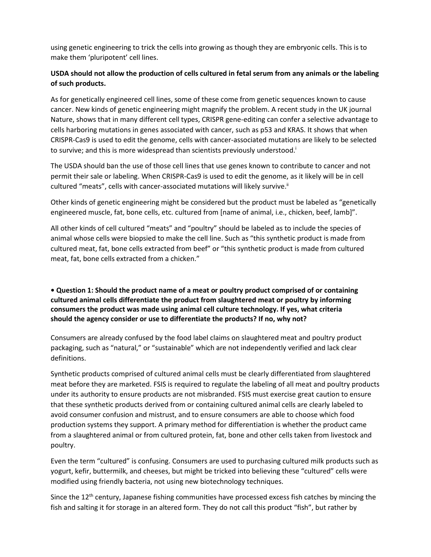using genetic engineering to trick the cells into growing as though they are embryonic cells. This is to make them 'pluripotent' cell lines.

## **USDA should not allow the production of cells cultured in fetal serum from any animals or the labeling of such products.**

As for genetically engineered cell lines, some of these come from genetic sequences known to cause cancer. New kinds of genetic engineering might magnify the problem. A recent study in the UK journal Nature, shows that in many different cell types, CRISPR gene-editing can confer a selective advantage to cells harboring mutations in genes associated with cancer, such as p53 and KRAS. It shows that when CRISPR-Cas9 is used to edit the genome, cells with cancer-associated mutations are likely to be selected to survive; and this is more widespread than scientists previously understood.<sup>1</sup>

The USDA should ban the use of those cell lines that use genes known to contribute to cancer and not permit their sale or labeling. When CRISPR-Cas9 is used to edit the genome, as it likely will be in cell cultured "meats", cells with cancer-associated mutations will likely survive.<sup>ii</sup>

Other kinds of genetic engineering might be considered but the product must be labeled as "genetically engineered muscle, fat, bone cells, etc. cultured from [name of animal, i.e., chicken, beef, lamb]".

All other kinds of cell cultured "meats" and "poultry" should be labeled as to include the species of animal whose cells were biopsied to make the cell line. Such as "this synthetic product is made from cultured meat, fat, bone cells extracted from beef" or "this synthetic product is made from cultured meat, fat, bone cells extracted from a chicken."

## **• Question 1: Should the product name of a meat or poultry product comprised of or containing cultured animal cells differentiate the product from slaughtered meat or poultry by informing consumers the product was made using animal cell culture technology. If yes, what criteria should the agency consider or use to differentiate the products? If no, why not?**

Consumers are already confused by the food label claims on slaughtered meat and poultry product packaging, such as "natural," or "sustainable" which are not independently verified and lack clear definitions.

Synthetic products comprised of cultured animal cells must be clearly differentiated from slaughtered meat before they are marketed. FSIS is required to regulate the labeling of all meat and poultry products under its authority to ensure products are not misbranded. FSIS must exercise great caution to ensure that these synthetic products derived from or containing cultured animal cells are clearly labeled to avoid consumer confusion and mistrust, and to ensure consumers are able to choose which food production systems they support. A primary method for differentiation is whether the product came from a slaughtered animal or from cultured protein, fat, bone and other cells taken from livestock and poultry.

Even the term "cultured" is confusing. Consumers are used to purchasing cultured milk products such as yogurt, kefir, buttermilk, and cheeses, but might be tricked into believing these "cultured" cells were modified using friendly bacteria, not using new biotechnology techniques.

Since the  $12<sup>th</sup>$  century, Japanese fishing communities have processed excess fish catches by mincing the fish and salting it for storage in an altered form. They do not call this product "fish", but rather by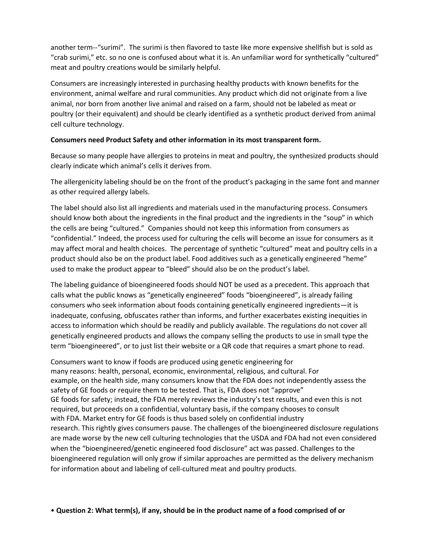another term--"surimi". The surimi is then flavored to taste like more expensive shellfish but is sold as "crab surimi," etc. so no one is confused about what it is. An unfamiliar word for synthetically "cultured" meat and poultry creations would be similarly helpful.

Consumers are increasingly interested in purchasing healthy products with known benefits for the environment, animal welfare and rural communities. Any product which did not originate from a live animal, nor born from another live animal and raised on a farm, should not be labeled as meat or poultry (or their equivalent) and should be clearly identified as a synthetic product derived from animal cell culture technology.

### **Consumers need Product Safety and other information in its most transparent form.**

Because so many people have allergies to proteins in meat and poultry, the synthesized products should clearly indicate which animal's cells it derives from.

The allergenicity labeling should be on the front of the product's packaging in the same font and manner as other required allergy labels.

The label should also list all ingredients and materials used in the manufacturing process. Consumers should know both about the ingredients in the final product and the ingredients in the "soup" in which the cells are being "cultured." Companies should not keep this information from consumers as "confidential." Indeed, the process used for culturing the cells will become an issue for consumers as it may affect moral and health choices. The percentage of synthetic "cultured" meat and poultry cells in a product should also be on the product label. Food additives such as a genetically engineered "heme" used to make the product appear to "bleed" should also be on the product's label.

The labeling guidance of bioengineered foods should NOT be used as a precedent. This approach that calls what the public knows as "genetically engineered" foods "bioengineered", is already failing consumers who seek information about foods containing genetically engineered ingredients—it is inadequate, confusing, obfuscates rather than informs, and further exacerbates existing inequities in access to information which should be readily and publicly available. The regulations do not cover all genetically engineered products and allows the company selling the products to use in small type the term "bioengineered", or to just list their website or a QR code that requires a smart phone to read.

Consumers want to know if foods are produced using genetic engineering for many reasons: health, personal, economic, environmental, religious, and cultural. For example, on the health side, many consumers know that the FDA does not independently assess the safety of GE foods or require them to be tested. That is, FDA does not "approve" GE foods for safety; instead, the FDA merely reviews the industry's test results, and even this is not required, but proceeds on a confidential, voluntary basis, if the company chooses to consult with FDA. Market entry for GE foods is thus based solely on confidential industry research. This rightly gives consumers pause. The challenges of the bioengineered disclosure regulations are made worse by the new cell culturing technologies that the USDA and FDA had not even considered when the "bioengineered/genetic engineered food disclosure" act was passed. Challenges to the bioengineered regulation will only grow if similar approaches are permitted as the delivery mechanism for information about and labeling of cell-cultured meat and poultry products.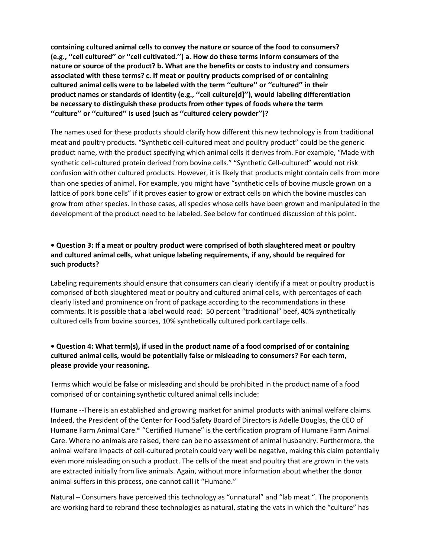**containing cultured animal cells to convey the nature or source of the food to consumers? (e.g., ''cell cultured'' or ''cell cultivated.'') a. How do these terms inform consumers of the nature or source of the product? b. What are the benefits or costs to industry and consumers associated with these terms? c. If meat or poultry products comprised of or containing cultured animal cells were to be labeled with the term ''culture'' or ''cultured'' in their product names or standards of identity (e.g., ''cell culture[d]''), would labeling differentiation be necessary to distinguish these products from other types of foods where the term ''culture'' or ''cultured'' is used (such as ''cultured celery powder'')?** 

The names used for these products should clarify how different this new technology is from traditional meat and poultry products. "Synthetic cell-cultured meat and poultry product" could be the generic product name, with the product specifying which animal cells it derives from. For example, "Made with synthetic cell-cultured protein derived from bovine cells." "Synthetic Cell-cultured" would not risk confusion with other cultured products. However, it is likely that products might contain cells from more than one species of animal. For example, you might have "synthetic cells of bovine muscle grown on a lattice of pork bone cells" if it proves easier to grow or extract cells on which the bovine muscles can grow from other species. In those cases, all species whose cells have been grown and manipulated in the development of the product need to be labeled. See below for continued discussion of this point.

# **• Question 3: If a meat or poultry product were comprised of both slaughtered meat or poultry and cultured animal cells, what unique labeling requirements, if any, should be required for such products?**

Labeling requirements should ensure that consumers can clearly identify if a meat or poultry product is comprised of both slaughtered meat or poultry and cultured animal cells, with percentages of each clearly listed and prominence on front of package according to the recommendations in these comments. It is possible that a label would read: 50 percent "traditional" beef, 40% synthetically cultured cells from bovine sources, 10% synthetically cultured pork cartilage cells.

## **• Question 4: What term(s), if used in the product name of a food comprised of or containing cultured animal cells, would be potentially false or misleading to consumers? For each term, please provide your reasoning.**

Terms which would be false or misleading and should be prohibited in the product name of a food comprised of or containing synthetic cultured animal cells include:

Humane --There is an established and growing market for animal products with animal welfare claims. Indeed, the President of the Center for Food Safety Board of Directors is Adelle Douglas, the CEO of Humane Farm Animal Care.<sup>iii</sup> "Certified Humane" is the certification program of Humane Farm Animal Care. Where no animals are raised, there can be no assessment of animal husbandry. Furthermore, the animal welfare impacts of cell-cultured protein could very well be negative, making this claim potentially even more misleading on such a product. The cells of the meat and poultry that are grown in the vats are extracted initially from live animals. Again, without more information about whether the donor animal suffers in this process, one cannot call it "Humane."

Natural – Consumers have perceived this technology as "unnatural" and "lab meat ". The proponents are working hard to rebrand these technologies as natural, stating the vats in which the "culture" has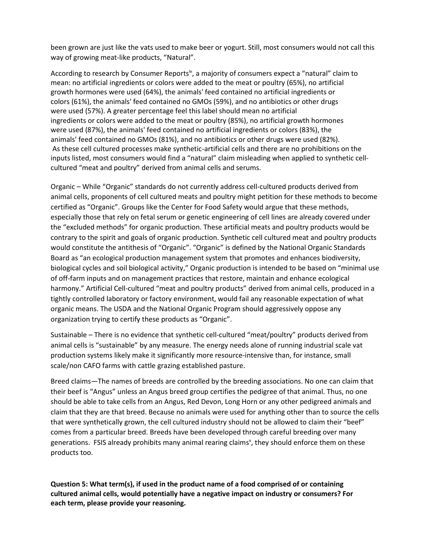been grown are just like the vats used to make beer or yogurt. Still, most consumers would not call this way of growing meat-like products, "Natural".

According to research by Consumer Reports<sup>iv</sup>, a majority of consumers expect a "natural" claim to mean: no artificial ingredients or colors were added to the meat or poultry (65%), no artificial growth hormones were used (64%), the animals' feed contained no artificial ingredients or colors (61%), the animals' feed contained no GMOs (59%), and no antibiotics or other drugs were used (57%). A greater percentage feel this label should mean no artificial ingredients or colors were added to the meat or poultry (85%), no artificial growth hormones were used (87%), the animals' feed contained no artificial ingredients or colors (83%), the animals' feed contained no GMOs (81%), and no antibiotics or other drugs were used (82%). As these cell cultured processes make synthetic-artificial cells and there are no prohibitions on the inputs listed, most consumers would find a "natural" claim misleading when applied to synthetic cellcultured "meat and poultry" derived from animal cells and serums.

Organic – While "Organic" standards do not currently address cell-cultured products derived from animal cells, proponents of cell cultured meats and poultry might petition for these methods to become certified as "Organic". Groups like the Center for Food Safety would argue that these methods, especially those that rely on fetal serum or genetic engineering of cell lines are already covered under the "excluded methods" for organic production. These artificial meats and poultry products would be contrary to the spirit and goals of organic production. Synthetic cell cultured meat and poultry products would constitute the antithesis of "Organic". "Organic" is defined by the National Organic Standards Board as "an ecological production management system that promotes and enhances biodiversity, biological cycles and soil biological activity," Organic production is intended to be based on "minimal use of off-farm inputs and on management practices that restore, maintain and enhance ecological harmony." Artificial Cell-cultured "meat and poultry products" derived from animal cells, produced in a tightly controlled laboratory or factory environment, would fail any reasonable expectation of what organic means. The USDA and the National Organic Program should aggressively oppose any organization trying to certify these products as "Organic".

Sustainable – There is no evidence that synthetic cell-cultured "meat/poultry" products derived from animal cells is "sustainable" by any measure. The energy needs alone of running industrial scale vat production systems likely make it significantly more resource-intensive than, for instance, small scale/non CAFO farms with cattle grazing established pasture.

Breed claims—The names of breeds are controlled by the breeding associations. No one can claim that their beef is "Angus" unless an Angus breed group certifies the pedigree of that animal. Thus, no one should be able to take cells from an Angus, Red Devon, Long Horn or any other pedigreed animals and claim that they are that breed. Because no animals were used for anything other than to source the cells that were synthetically grown, the cell cultured industry should not be allowed to claim their "beef" comes from a particular breed. Breeds have been developed through careful breeding over many generations. FSIS already prohibits many animal rearing claims<sup>v</sup>, they should enforce them on these products too.

**Question 5: What term(s), if used in the product name of a food comprised of or containing cultured animal cells, would potentially have a negative impact on industry or consumers? For each term, please provide your reasoning.**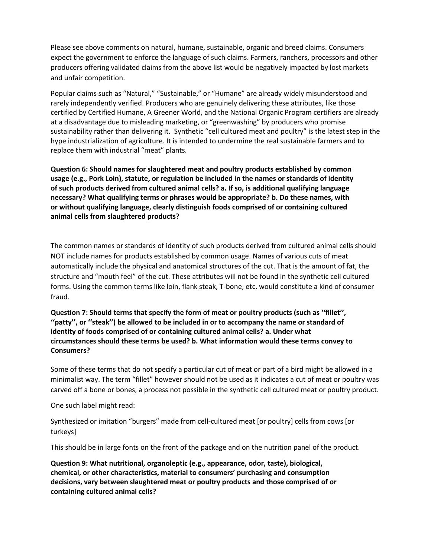Please see above comments on natural, humane, sustainable, organic and breed claims. Consumers expect the government to enforce the language of such claims. Farmers, ranchers, processors and other producers offering validated claims from the above list would be negatively impacted by lost markets and unfair competition.

Popular claims such as "Natural," "Sustainable," or "Humane" are already widely misunderstood and rarely independently verified. Producers who are genuinely delivering these attributes, like those certified by Certified Humane, A Greener World, and the National Organic Program certifiers are already at a disadvantage due to misleading marketing, or "greenwashing" by producers who promise sustainability rather than delivering it. Synthetic "cell cultured meat and poultry" is the latest step in the hype industrialization of agriculture. It is intended to undermine the real sustainable farmers and to replace them with industrial "meat" plants.

**Question 6: Should names for slaughtered meat and poultry products established by common usage (e.g., Pork Loin), statute, or regulation be included in the names or standards of identity of such products derived from cultured animal cells? a. If so, is additional qualifying language necessary? What qualifying terms or phrases would be appropriate? b. Do these names, with or without qualifying language, clearly distinguish foods comprised of or containing cultured animal cells from slaughtered products?** 

The common names or standards of identity of such products derived from cultured animal cells should NOT include names for products established by common usage. Names of various cuts of meat automatically include the physical and anatomical structures of the cut. That is the amount of fat, the structure and "mouth feel" of the cut. These attributes will not be found in the synthetic cell cultured forms. Using the common terms like loin, flank steak, T-bone, etc. would constitute a kind of consumer fraud.

**Question 7: Should terms that specify the form of meat or poultry products (such as ''fillet'', ''patty'', or ''steak'') be allowed to be included in or to accompany the name or standard of identity of foods comprised of or containing cultured animal cells? a. Under what circumstances should these terms be used? b. What information would these terms convey to Consumers?**

Some of these terms that do not specify a particular cut of meat or part of a bird might be allowed in a minimalist way. The term "fillet" however should not be used as it indicates a cut of meat or poultry was carved off a bone or bones, a process not possible in the synthetic cell cultured meat or poultry product.

One such label might read:

Synthesized or imitation "burgers" made from cell-cultured meat [or poultry] cells from cows [or turkeys]

This should be in large fonts on the front of the package and on the nutrition panel of the product.

**Question 9: What nutritional, organoleptic (e.g., appearance, odor, taste), biological, chemical, or other characteristics, material to consumers' purchasing and consumption decisions, vary between slaughtered meat or poultry products and those comprised of or containing cultured animal cells?**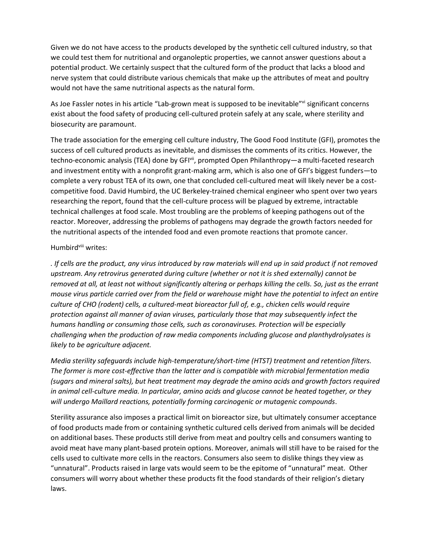Given we do not have access to the products developed by the synthetic cell cultured industry, so that we could test them for nutritional and organoleptic properties, we cannot answer questions about a potential product. We certainly suspect that the cultured form of the product that lacks a blood and nerve system that could distribute various chemicals that make up the attributes of meat and poultry would not have the same nutritional aspects as the natural form.

As Joe Fassler notes in his article "Lab-grown meat is supposed to be inevitable"<sup>vi</sup> significant concerns exist about the food safety of producing cell-cultured protein safely at any scale, where sterility and biosecurity are paramount.

The trade association for the emerging cell culture industry, The Good Food Institute (GFI), promotes the success of cell cultured products as inevitable, and dismisses the comments of its critics. However, the techno-economic analysis (TEA) done by GFI<sup>vii</sup>, prompted Open Philanthropy—a multi-faceted research and investment entity with a nonprofit grant-making arm, which is also one of GFI's biggest funders—to complete a very robust TEA of its own, one that concluded cell-cultured meat will likely never be a costcompetitive food. David Humbird, the UC Berkeley-trained chemical engineer who spent over two years researching the report, found that the cell-culture process will be plagued by extreme, intractable technical challenges at food scale. Most troubling are the problems of keeping pathogens out of the reactor. Moreover, addressing the problems of pathogens may degrade the growth factors needed for the nutritional aspects of the intended food and even promote reactions that promote cancer.

#### Humbird<sup>viii</sup> writes:

*. If cells are the product, any virus introduced by raw materials will end up in said product if not removed upstream. Any retrovirus generated during culture (whether or not it is shed externally) cannot be removed at all, at least not without significantly altering or perhaps killing the cells. So, just as the errant mouse virus particle carried over from the field or warehouse might have the potential to infect an entire culture of CHO (rodent) cells, a cultured-meat bioreactor full of, e.g., chicken cells would require protection against all manner of avian viruses, particularly those that may subsequently infect the humans handling or consuming those cells, such as coronaviruses. Protection will be especially challenging when the production of raw media components including glucose and planthydrolysates is likely to be agriculture adjacent.*

*Media sterility safeguards include high-temperature/short-time (HTST) treatment and retention filters. The former is more cost-effective than the latter and is compatible with microbial fermentation media (sugars and mineral salts), but heat treatment may degrade the amino acids and growth factors required in animal cell-culture media. In particular, amino acids and glucose cannot be heated together, or they will undergo Maillard reactions, potentially forming carcinogenic or mutagenic compounds*.

Sterility assurance also imposes a practical limit on bioreactor size, but ultimately consumer acceptance of food products made from or containing synthetic cultured cells derived from animals will be decided on additional bases. These products still derive from meat and poultry cells and consumers wanting to avoid meat have many plant-based protein options. Moreover, animals will still have to be raised for the cells used to cultivate more cells in the reactors. Consumers also seem to dislike things they view as "unnatural". Products raised in large vats would seem to be the epitome of "unnatural" meat. Other consumers will worry about whether these products fit the food standards of their religion's dietary laws.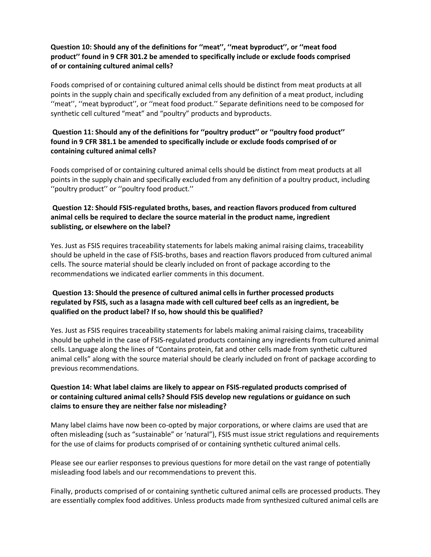### **Question 10: Should any of the definitions for ''meat'', ''meat byproduct'', or ''meat food product'' found in 9 CFR 301.2 be amended to specifically include or exclude foods comprised of or containing cultured animal cells?**

Foods comprised of or containing cultured animal cells should be distinct from meat products at all points in the supply chain and specifically excluded from any definition of a meat product, including ''meat'', ''meat byproduct'', or ''meat food product.'' Separate definitions need to be composed for synthetic cell cultured "meat" and "poultry" products and byproducts.

# **Question 11: Should any of the definitions for ''poultry product'' or ''poultry food product'' found in 9 CFR 381.1 be amended to specifically include or exclude foods comprised of or containing cultured animal cells?**

Foods comprised of or containing cultured animal cells should be distinct from meat products at all points in the supply chain and specifically excluded from any definition of a poultry product, including ''poultry product'' or ''poultry food product.''

### **Question 12: Should FSIS-regulated broths, bases, and reaction flavors produced from cultured animal cells be required to declare the source material in the product name, ingredient sublisting, or elsewhere on the label?**

Yes. Just as FSIS requires traceability statements for labels making animal raising claims, traceability should be upheld in the case of FSIS-broths, bases and reaction flavors produced from cultured animal cells. The source material should be clearly included on front of package according to the recommendations we indicated earlier comments in this document.

# **Question 13: Should the presence of cultured animal cells in further processed products regulated by FSIS, such as a lasagna made with cell cultured beef cells as an ingredient, be qualified on the product label? If so, how should this be qualified?**

Yes. Just as FSIS requires traceability statements for labels making animal raising claims, traceability should be upheld in the case of FSIS-regulated products containing any ingredients from cultured animal cells. Language along the lines of "Contains protein, fat and other cells made from synthetic cultured animal cells" along with the source material should be clearly included on front of package according to previous recommendations.

## **Question 14: What label claims are likely to appear on FSIS-regulated products comprised of or containing cultured animal cells? Should FSIS develop new regulations or guidance on such claims to ensure they are neither false nor misleading?**

Many label claims have now been co-opted by major corporations, or where claims are used that are often misleading (such as "sustainable" or 'natural"), FSIS must issue strict regulations and requirements for the use of claims for products comprised of or containing synthetic cultured animal cells.

Please see our earlier responses to previous questions for more detail on the vast range of potentially misleading food labels and our recommendations to prevent this.

Finally, products comprised of or containing synthetic cultured animal cells are processed products. They are essentially complex food additives. Unless products made from synthesized cultured animal cells are